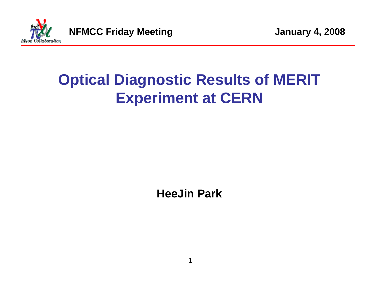

# **Optical Diagnostic Results of MERIT Experiment at CERN**

**HeeJin Park** 

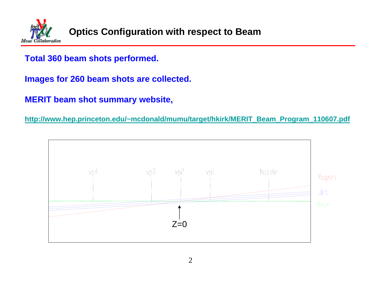

#### **Total 360 beam shots performed.**

**Images for 260 beam shots are collected.**

**MERIT beam shot summary website,** 

**http://www.hep.princeton.edu/~mcdonald/mumu/target/hkirk/MERIT\_Beam\_Program\_110607.pdf**

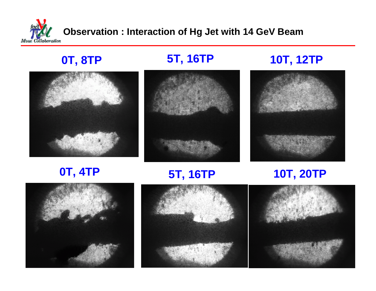

**0T, 8TP 5T, 16TP 10T, 12TP**





**0T, 4TP 5T, 16TP 10T, 20TP**





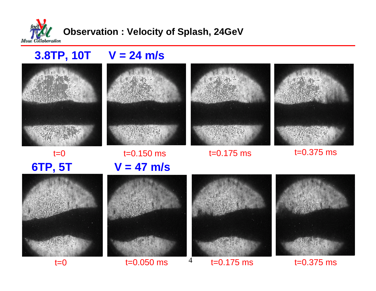

## **3.8TP, 10T V = 24 m/s**



**6TP, 5T**

 $t=0$ 



t=0.150 ms **V = 47 m/s**



t=0.175 ms t=0.375 ms





 $t=0$ 





 $t=0.050$  ms  $t=0.175$  ms  $t=0.375$  ms

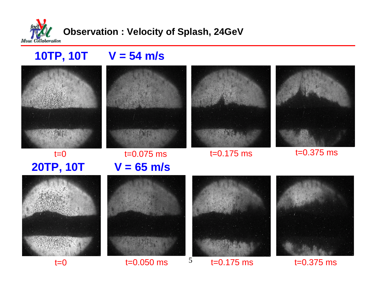

## **10TP, 10T V = 54 m/s**





### t=0.175 ms t=0.375 ms t=0.075 ms **V = 65 m/s**











 $t=0.050 \text{ ms}$   $5$   $t=0.175 \text{ ms}$   $t=0.375 \text{ ms}$ 

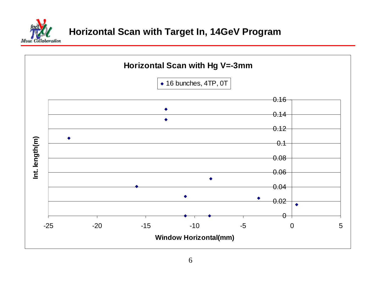

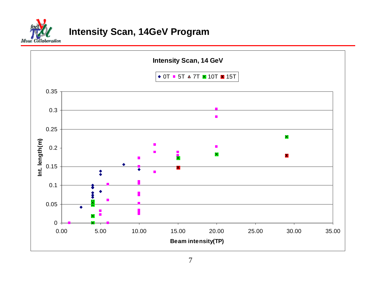

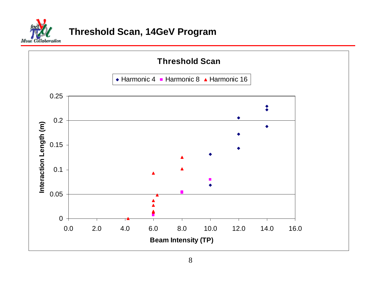

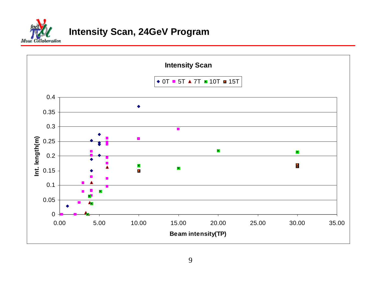

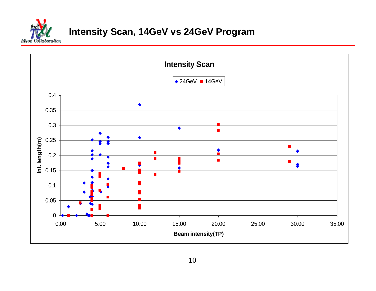